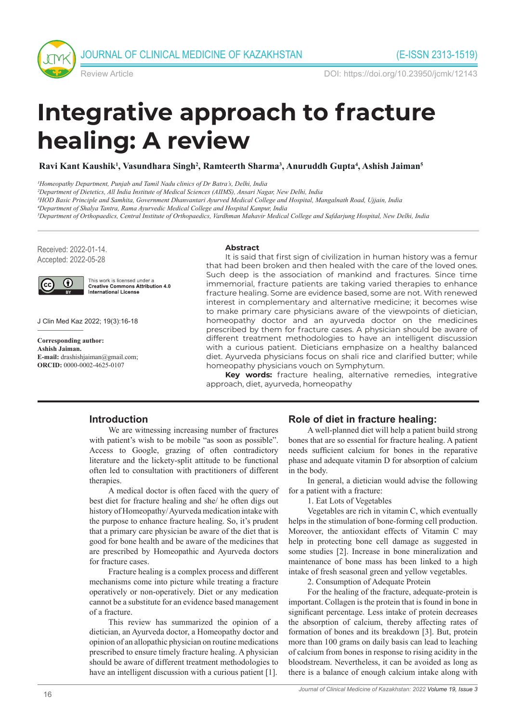

Review Article DOI: https://doi.org/10.23950/jcmk/12143

# **Integrative approach to fracture healing: A review**

**Ravi Kant Kaushik1 , Vasundhara Singh2 , Ramteerth Sharma3 , Anuruddh Gupta4 , Ashish Jaiman5**

*1Homeopathy Department, Punjab and Tamil Nadu clinics of Dr Batra's, Delhi, India*

*2Department of Dietetics, All India Institute of Medical Sciences (AIIMS), Ansari Nagar, New Delhi, India*

*4Department of Shalya Tantra, Rama Ayurvedic Medical College and Hospital Kanpur, India*

*5Department of Orthopaedics, Central Institute of Orthopaedics, Vardhman Mahavir Medical College and Safdarjung Hospital, New Delhi, India*

Received: 2022-01-14. Accepted: 2022-05-28



This work is licensed under a **Creative Commons Attribution 4.0**<br>International License

J Clin Med Kaz 2022; 19(3):16-18

**Corresponding author: Ashish Jaiman. E-mail:** drashishjaiman@gmail.com; **ORCID:** 0000-0002-4625-0107

#### **Abstract**

It is said that first sign of civilization in human history was a femur that had been broken and then healed with the care of the loved ones. Such deep is the association of mankind and fractures. Since time immemorial, fracture patients are taking varied therapies to enhance fracture healing. Some are evidence based, some are not. With renewed interest in complementary and alternative medicine; it becomes wise to make primary care physicians aware of the viewpoints of dietician, homeopathy doctor and an ayurveda doctor on the medicines prescribed by them for fracture cases. A physician should be aware of different treatment methodologies to have an intelligent discussion with a curious patient. Dieticians emphasize on a healthy balanced diet. Ayurveda physicians focus on shali rice and clarified butter; while homeopathy physicians vouch on Symphytum.

**Key words:** fracture healing, alternative remedies, integrative approach, diet, ayurveda, homeopathy

#### **Introduction**

We are witnessing increasing number of fractures with patient's wish to be mobile "as soon as possible". Access to Google, grazing of often contradictory literature and the lickety-split attitude to be functional often led to consultation with practitioners of different therapies.

A medical doctor is often faced with the query of best diet for fracture healing and she/ he often digs out history of Homeopathy/ Ayurveda medication intake with the purpose to enhance fracture healing. So, it's prudent that a primary care physician be aware of the diet that is good for bone health and be aware of the medicines that are prescribed by Homeopathic and Ayurveda doctors for fracture cases.

Fracture healing is a complex process and different mechanisms come into picture while treating a fracture operatively or non-operatively. Diet or any medication cannot be a substitute for an evidence based management of a fracture.

This review has summarized the opinion of a dietician, an Ayurveda doctor, a Homeopathy doctor and opinion of an allopathic physician on routine medications prescribed to ensure timely fracture healing. A physician should be aware of different treatment methodologies to have an intelligent discussion with a curious patient [1].

#### **Role of diet in fracture healing:**

A well-planned diet will help a patient build strong bones that are so essential for fracture healing. A patient needs sufficient calcium for bones in the reparative phase and adequate vitamin D for absorption of calcium in the body.

In general, a dietician would advise the following for a patient with a fracture:

1. Eat Lots of Vegetables

Vegetables are rich in vitamin C, which eventually helps in the stimulation of bone-forming cell production. Moreover, the antioxidant effects of Vitamin C may help in protecting bone cell damage as suggested in some studies [2]. Increase in bone mineralization and maintenance of bone mass has been linked to a high intake of fresh seasonal green and yellow vegetables.

2. Consumption of Adequate Protein

For the healing of the fracture, adequate-protein is important. Collagen is the protein that is found in bone in significant percentage. Less intake of protein decreases the absorption of calcium, thereby affecting rates of formation of bones and its breakdown [3]. But, protein more than 100 grams on daily basis can lead to leaching of calcium from bones in response to rising acidity in the bloodstream. Nevertheless, it can be avoided as long as there is a balance of enough calcium intake along with

*<sup>3</sup>HOD Basic Principle and Samhita, Government Dhanvantari Ayurved Medical College and Hospital, Mangalnath Road, Ujjain, India*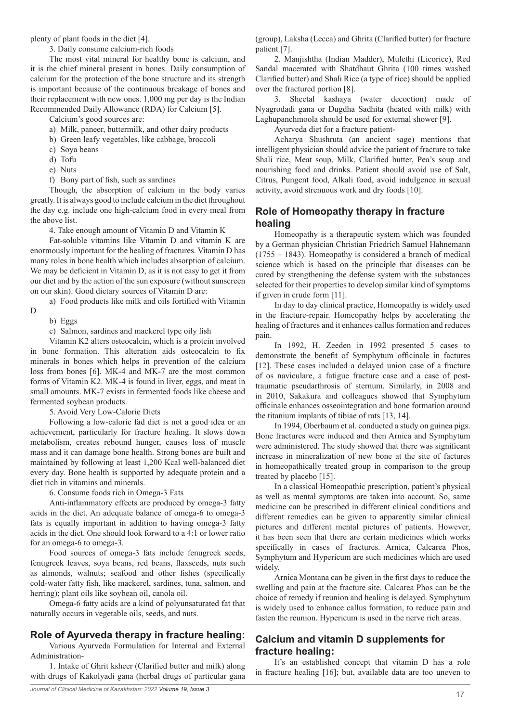plenty of plant foods in the diet [4].

3. Daily consume calcium-rich foods

The most vital mineral for healthy bone is calcium, and it is the chief mineral present in bones. Daily consumption of calcium for the protection of the bone structure and its strength is important because of the continuous breakage of bones and their replacement with new ones. 1,000 mg per day is the Indian Recommended Daily Allowance (RDA) for Calcium [5].

Calcium's good sources are:

a) Milk, paneer, buttermilk, and other dairy products

- b) Green leafy vegetables, like cabbage, broccoli
- c) Soya beans
- d) Tofu
- e) Nuts

f) Bony part of fish, such as sardines

Though, the absorption of calcium in the body varies greatly. It is always good to include calcium in the diet throughout the day e.g. include one high-calcium food in every meal from the above list.

4. Take enough amount of Vitamin D and Vitamin K

Fat-soluble vitamins like Vitamin D and vitamin K are enormously important for the healing of fractures. Vitamin D has many roles in bone health which includes absorption of calcium. We may be deficient in Vitamin D, as it is not easy to get it from our diet and by the action of the sun exposure (without sunscreen on our skin). Good dietary sources of Vitamin D are:

a) Food products like milk and oils fortified with Vitamin

D

b) Eggs c) Salmon, sardines and mackerel type oily fish

Vitamin K2 alters osteocalcin, which is a protein involved in bone formation. This alteration aids osteocalcin to fix minerals in bones which helps in prevention of the calcium loss from bones [6]. MK-4 and MK-7 are the most common forms of Vitamin K2. MK-4 is found in liver, eggs, and meat in small amounts. MK-7 exists in fermented foods like cheese and fermented soybean products.

5. Avoid Very Low-Calorie Diets

Following a low-calorie fad diet is not a good idea or an achievement, particularly for fracture healing. It slows down metabolism, creates rebound hunger, causes loss of muscle mass and it can damage bone health. Strong bones are built and maintained by following at least 1,200 Kcal well-balanced diet every day. Bone health is supported by adequate protein and a diet rich in vitamins and minerals.

6. Consume foods rich in Omega-3 Fats

Anti-inflammatory effects are produced by omega-3 fatty acids in the diet. An adequate balance of omega-6 to omega-3 fats is equally important in addition to having omega-3 fatty acids in the diet. One should look forward to a 4:1 or lower ratio for an omega-6 to omega-3.

Food sources of omega-3 fats include fenugreek seeds, fenugreek leaves, soya beans, red beans, flaxseeds, nuts such as almonds, walnuts; seafood and other fishes (specifically cold-water fatty fish, like mackerel, sardines, tuna, salmon, and herring); plant oils like soybean oil, canola oil.

Omega-6 fatty acids are a kind of polyunsaturated fat that naturally occurs in vegetable oils, seeds, and nuts.

#### **Role of Ayurveda therapy in fracture healing:**

Various Ayurveda Formulation for Internal and External Administration-

1. Intake of Ghrit ksheer (Clarified butter and milk) along with drugs of Kakolyadi gana (herbal drugs of particular gana (group), Laksha (Lecca) and Ghrita (Clarified butter) for fracture patient [7].

2. Manjishtha (Indian Madder), Mulethi (Licorice), Red Sandal macerated with Shatdhaut Ghrita (100 times washed Clarified butter) and Shali Rice (a type of rice) should be applied over the fractured portion [8].

3. Sheetal kashaya (water decoction) made of Nyagrodadi gana or Dugdha Sadhita (heated with milk) with Laghupanchmoola should be used for external shower [9].

Ayurveda diet for a fracture patient-

Acharya Shushruta (an ancient sage) mentions that intelligent physician should advice the patient of fracture to take Shali rice, Meat soup, Milk, Clarified butter, Pea's soup and nourishing food and drinks. Patient should avoid use of Salt, Citrus, Pungent food, Alkali food, avoid indulgence in sexual activity, avoid strenuous work and dry foods [10].

# **Role of Homeopathy therapy in fracture healing**

Homeopathy is a therapeutic system which was founded by a German physician Christian Friedrich Samuel Hahnemann (1755 – 1843). Homeopathy is considered a branch of medical science which is based on the principle that diseases can be cured by strengthening the defense system with the substances selected for their properties to develop similar kind of symptoms if given in crude form [11].

In day to day clinical practice, Homeopathy is widely used in the fracture-repair. Homeopathy helps by accelerating the healing of fractures and it enhances callus formation and reduces pain.

In 1992, H. Zeeden in 1992 presented 5 cases to demonstrate the benefit of Symphytum officinale in factures [12]. These cases included a delayed union case of a fracture of os naviculare, a fatigue fracture case and a case of posttraumatic pseudarthrosis of sternum. Similarly, in 2008 and in 2010, Sakakura and colleagues showed that Symphytum officinale enhances osseointegration and bone formation around the titanium implants of tibiae of rats [13, 14].

In 1994, Oberbaum et al. conducted a study on guinea pigs. Bone fractures were induced and then Arnica and Symphytum were administered. The study showed that there was significant increase in mineralization of new bone at the site of factures in homeopathically treated group in comparison to the group treated by placebo [15].

In a classical Homeopathic prescription, patient's physical as well as mental symptoms are taken into account. So, same medicine can be prescribed in different clinical conditions and different remedies can be given to apparently similar clinical pictures and different mental pictures of patients. However, it has been seen that there are certain medicines which works specifically in cases of fractures. Arnica, Calcarea Phos, Symphytum and Hypericum are such medicines which are used widely.

Arnica Montana can be given in the first days to reduce the swelling and pain at the fracture site. Calcarea Phos can be the choice of remedy if reunion and healing is delayed. Symphytum is widely used to enhance callus formation, to reduce pain and fasten the reunion. Hypericum is used in the nerve rich areas.

# **Calcium and vitamin D supplements for fracture healing:**

It's an established concept that vitamin D has a role in fracture healing [16]; but, available data are too uneven to